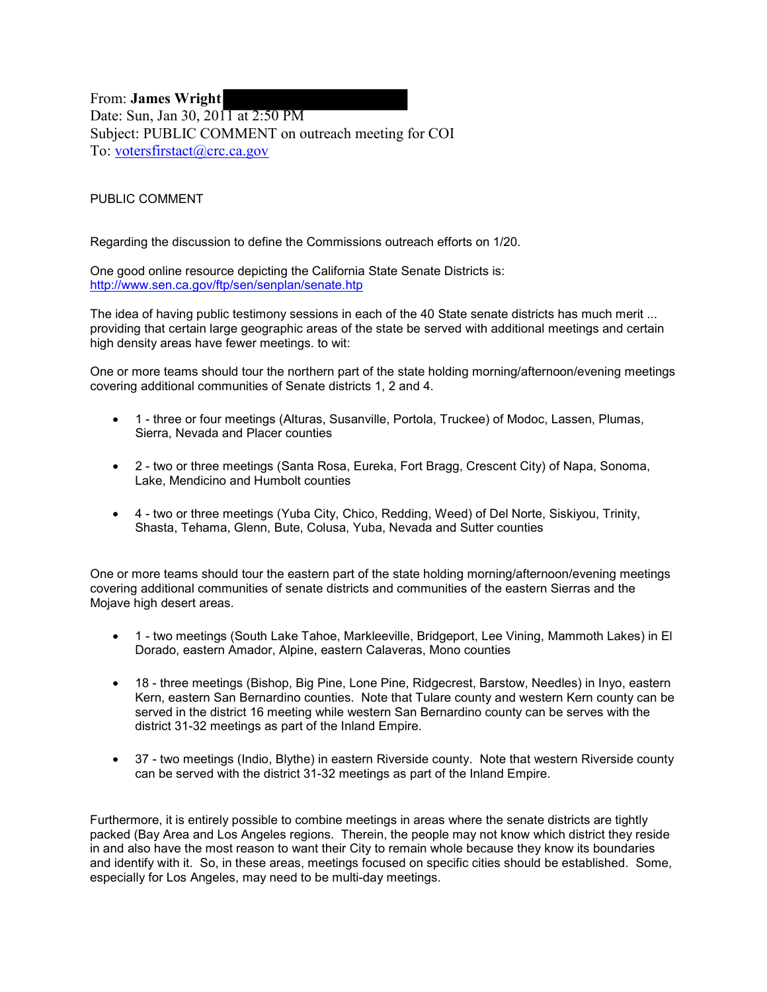From: **James Wright** Date: Sun, Jan 30, 2011 at 2:50 PM Subject: PUBLIC COMMENT on outreach meeting for COI To: [votersfirstact@crc.ca.gov](mailto:votersfirstact@crc.ca.gov)

PUBLIC COMMENT

Regarding the discussion to define the Commissions outreach efforts on 1/20.

One good online resource depicting the California State Senate Districts is: <http://www.sen.ca.gov/ftp/sen/senplan/senate.htp>

The idea of having public testimony sessions in each of the 40 State senate districts has much merit ... providing that certain large geographic areas of the state be served with additional meetings and certain high density areas have fewer meetings. to wit:

One or more teams should tour the northern part of the state holding morning/afternoon/evening meetings covering additional communities of Senate districts 1, 2 and 4.

- 1 three or four meetings (Alturas, Susanville, Portola, Truckee) of Modoc, Lassen, Plumas, Sierra, Nevada and Placer counties
- 2 two or three meetings (Santa Rosa, Eureka, Fort Bragg, Crescent City) of Napa, Sonoma, Lake, Mendicino and Humbolt counties
- 4 two or three meetings (Yuba City, Chico, Redding, Weed) of Del Norte, Siskiyou, Trinity, Shasta, Tehama, Glenn, Bute, Colusa, Yuba, Nevada and Sutter counties

One or more teams should tour the eastern part of the state holding morning/afternoon/evening meetings covering additional communities of senate districts and communities of the eastern Sierras and the Mojave high desert areas.

- 1 two meetings (South Lake Tahoe, Markleeville, Bridgeport, Lee Vining, Mammoth Lakes) in El Dorado, eastern Amador, Alpine, eastern Calaveras, Mono counties
- 18 three meetings (Bishop, Big Pine, Lone Pine, Ridgecrest, Barstow, Needles) in Inyo, eastern Kern, eastern San Bernardino counties. Note that Tulare county and western Kern county can be served in the district 16 meeting while western San Bernardino county can be serves with the district 31-32 meetings as part of the Inland Empire.
- 37 two meetings (Indio, Blythe) in eastern Riverside county. Note that western Riverside county can be served with the district 31-32 meetings as part of the Inland Empire.

Furthermore, it is entirely possible to combine meetings in areas where the senate districts are tightly packed (Bay Area and Los Angeles regions. Therein, the people may not know which district they reside in and also have the most reason to want their City to remain whole because they know its boundaries and identify with it. So, in these areas, meetings focused on specific cities should be established. Some, especially for Los Angeles, may need to be multi-day meetings.